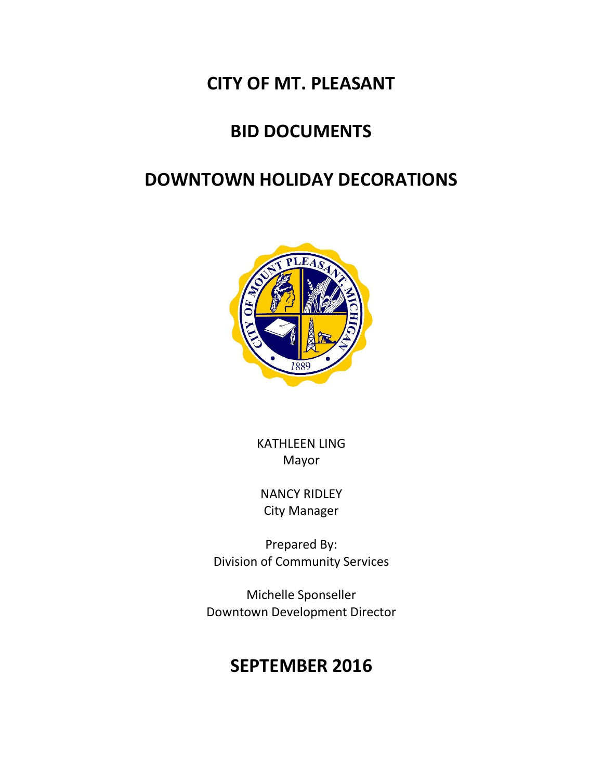### **CITY OF MT. PLEASANT**

# **BID DOCUMENTS**

# **DOWNTOWN HOLIDAY DECORATIONS**



KATHLEEN LING Mayor

NANCY RIDLEY City Manager

Prepared By: Division of Community Services

Michelle Sponseller Downtown Development Director

## **SEPTEMBER 2016**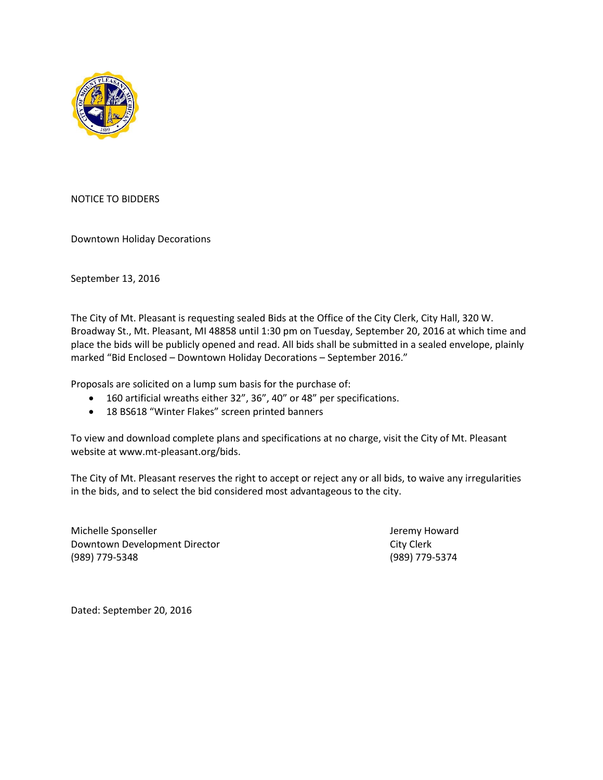

NOTICE TO BIDDERS

Downtown Holiday Decorations

September 13, 2016

The City of Mt. Pleasant is requesting sealed Bids at the Office of the City Clerk, City Hall, 320 W. Broadway St., Mt. Pleasant, MI 48858 until 1:30 pm on Tuesday, September 20, 2016 at which time and place the bids will be publicly opened and read. All bids shall be submitted in a sealed envelope, plainly marked "Bid Enclosed – Downtown Holiday Decorations – September 2016."

Proposals are solicited on a lump sum basis for the purchase of:

- 160 artificial wreaths either 32", 36", 40" or 48" per specifications.
- 18 BS618 "Winter Flakes" screen printed banners

To view and download complete plans and specifications at no charge, visit the City of Mt. Pleasant website at www.mt-pleasant.org/bids.

The City of Mt. Pleasant reserves the right to accept or reject any or all bids, to waive any irregularities in the bids, and to select the bid considered most advantageous to the city.

Michelle Sponseller **Jeremy Howard** Jeremy Howard Downtown Development Director City Clerk (989) 779-5348 (989) 779-5374

Dated: September 20, 2016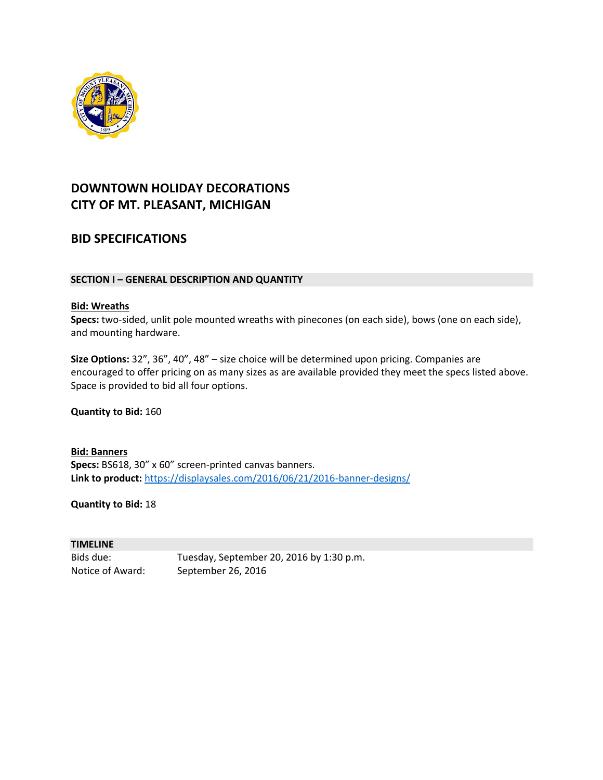

### **DOWNTOWN HOLIDAY DECORATIONS CITY OF MT. PLEASANT, MICHIGAN**

### **BID SPECIFICATIONS**

### **SECTION I – GENERAL DESCRIPTION AND QUANTITY**

#### **Bid: Wreaths**

**Specs:** two-sided, unlit pole mounted wreaths with pinecones (on each side), bows (one on each side), and mounting hardware.

**Size Options:** 32", 36", 40", 48" – size choice will be determined upon pricing. Companies are encouraged to offer pricing on as many sizes as are available provided they meet the specs listed above. Space is provided to bid all four options.

**Quantity to Bid:** 160

**Bid: Banners Specs:** BS618, 30" x 60" screen-printed canvas banners. **Link to product:** <https://displaysales.com/2016/06/21/2016-banner-designs/>

**Quantity to Bid:** 18

#### **TIMELINE**

Bids due: Tuesday, September 20, 2016 by 1:30 p.m. Notice of Award: September 26, 2016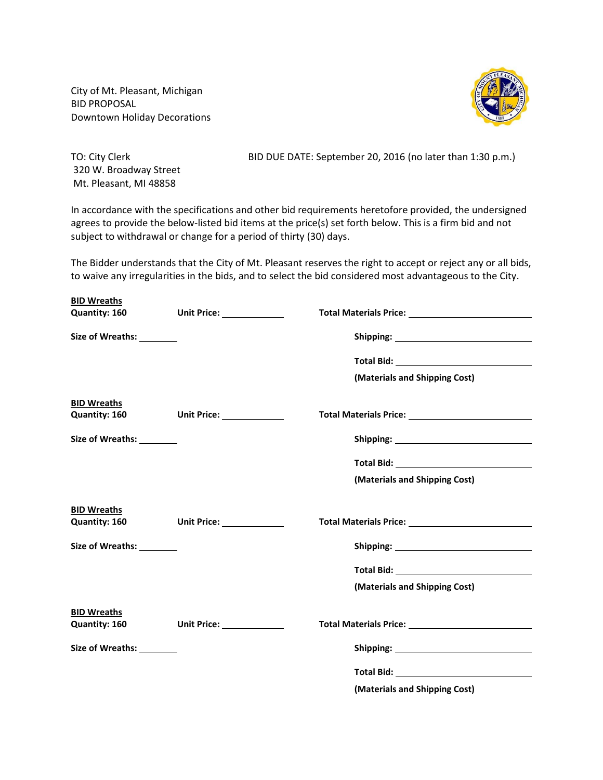City of Mt. Pleasant, Michigan BID PROPOSAL Downtown Holiday Decorations



320 W. Broadway Street Mt. Pleasant, MI 48858

TO: City Clerk BID DUE DATE: September 20, 2016 (no later than 1:30 p.m.)

In accordance with the specifications and other bid requirements heretofore provided, the undersigned agrees to provide the below-listed bid items at the price(s) set forth below. This is a firm bid and not subject to withdrawal or change for a period of thirty (30) days.

The Bidder understands that the City of Mt. Pleasant reserves the right to accept or reject any or all bids, to waive any irregularities in the bids, and to select the bid considered most advantageous to the City.

| <b>BID Wreaths</b>         |                             |                                                                                                                                                                                                                                     |
|----------------------------|-----------------------------|-------------------------------------------------------------------------------------------------------------------------------------------------------------------------------------------------------------------------------------|
| Quantity: 160              | Unit Price: _______________ |                                                                                                                                                                                                                                     |
| Size of Wreaths: _________ |                             |                                                                                                                                                                                                                                     |
|                            |                             |                                                                                                                                                                                                                                     |
|                            |                             | (Materials and Shipping Cost)                                                                                                                                                                                                       |
| <b>BID Wreaths</b>         | Quantity: 160 Unit Price:   |                                                                                                                                                                                                                                     |
| Size of Wreaths: ________  |                             |                                                                                                                                                                                                                                     |
|                            |                             | <b>Total Bid:</b> The contract of the contract of the contract of the contract of the contract of the contract of the contract of the contract of the contract of the contract of the contract of the contract of the contract of t |
|                            |                             | (Materials and Shipping Cost)                                                                                                                                                                                                       |
| <b>BID Wreaths</b>         |                             |                                                                                                                                                                                                                                     |
|                            | Quantity: 160 Unit Price:   |                                                                                                                                                                                                                                     |
| Size of Wreaths: _________ |                             |                                                                                                                                                                                                                                     |
|                            |                             |                                                                                                                                                                                                                                     |
|                            |                             | (Materials and Shipping Cost)                                                                                                                                                                                                       |
| <b>BID Wreaths</b>         |                             |                                                                                                                                                                                                                                     |
| <b>Quantity: 160</b>       | Unit Price: ______________  |                                                                                                                                                                                                                                     |
| Size of Wreaths: ________  |                             |                                                                                                                                                                                                                                     |
|                            |                             | <b>Total Bid:</b> The Contract of the Contract of the Contract of the Contract of the Contract of the Contract of the Contract of the Contract of the Contract of the Contract of the Contract of the Contract of the Contract of t |
|                            |                             | (Materials and Shipping Cost)                                                                                                                                                                                                       |